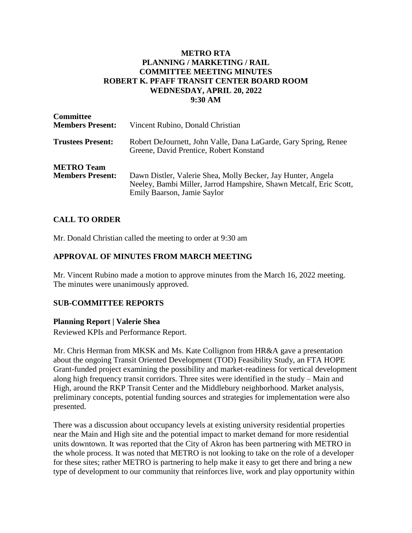## **METRO RTA PLANNING / MARKETING / RAIL COMMITTEE MEETING MINUTES ROBERT K. PFAFF TRANSIT CENTER BOARD ROOM WEDNESDAY, APRIL 20, 2022 9:30 AM**

| <b>Committee</b><br><b>Members Present:</b>  | Vincent Rubino, Donald Christian                                                                                                                                  |
|----------------------------------------------|-------------------------------------------------------------------------------------------------------------------------------------------------------------------|
| <b>Trustees Present:</b>                     | Robert DeJournett, John Valle, Dana LaGarde, Gary Spring, Renee<br>Greene, David Prentice, Robert Konstand                                                        |
| <b>METRO Team</b><br><b>Members Present:</b> | Dawn Distler, Valerie Shea, Molly Becker, Jay Hunter, Angela<br>Neeley, Bambi Miller, Jarrod Hampshire, Shawn Metcalf, Eric Scott,<br>Emily Baarson, Jamie Saylor |

### **CALL TO ORDER**

Mr. Donald Christian called the meeting to order at 9:30 am

### **APPROVAL OF MINUTES FROM MARCH MEETING**

Mr. Vincent Rubino made a motion to approve minutes from the March 16, 2022 meeting. The minutes were unanimously approved.

### **SUB-COMMITTEE REPORTS**

#### **Planning Report | Valerie Shea**

Reviewed KPIs and Performance Report.

Mr. Chris Herman from MKSK and Ms. Kate Collignon from HR&A gave a presentation about the ongoing Transit Oriented Development (TOD) Feasibility Study, an FTA HOPE Grant-funded project examining the possibility and market-readiness for vertical development along high frequency transit corridors. Three sites were identified in the study – Main and High, around the RKP Transit Center and the Middlebury neighborhood. Market analysis, preliminary concepts, potential funding sources and strategies for implementation were also presented.

There was a discussion about occupancy levels at existing university residential properties near the Main and High site and the potential impact to market demand for more residential units downtown. It was reported that the City of Akron has been partnering with METRO in the whole process. It was noted that METRO is not looking to take on the role of a developer for these sites; rather METRO is partnering to help make it easy to get there and bring a new type of development to our community that reinforces live, work and play opportunity within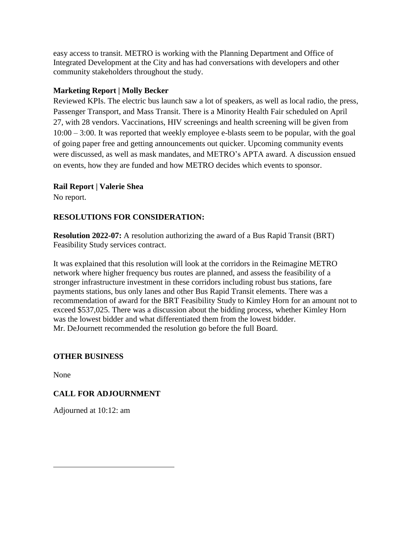easy access to transit. METRO is working with the Planning Department and Office of Integrated Development at the City and has had conversations with developers and other community stakeholders throughout the study.

# **Marketing Report | Molly Becker**

Reviewed KPIs. The electric bus launch saw a lot of speakers, as well as local radio, the press, Passenger Transport, and Mass Transit. There is a Minority Health Fair scheduled on April 27, with 28 vendors. Vaccinations, HIV screenings and health screening will be given from 10:00 – 3:00. It was reported that weekly employee e-blasts seem to be popular, with the goal of going paper free and getting announcements out quicker. Upcoming community events were discussed, as well as mask mandates, and METRO's APTA award. A discussion ensued on events, how they are funded and how METRO decides which events to sponsor.

## **Rail Report | Valerie Shea**

No report.

# **RESOLUTIONS FOR CONSIDERATION:**

**Resolution 2022-07:** A resolution authorizing the award of a Bus Rapid Transit (BRT) Feasibility Study services contract.

It was explained that this resolution will look at the corridors in the Reimagine METRO network where higher frequency bus routes are planned, and assess the feasibility of a stronger infrastructure investment in these corridors including robust bus stations, fare payments stations, bus only lanes and other Bus Rapid Transit elements. There was a recommendation of award for the BRT Feasibility Study to Kimley Horn for an amount not to exceed \$537,025. There was a discussion about the bidding process, whether Kimley Horn was the lowest bidder and what differentiated them from the lowest bidder. Mr. DeJournett recommended the resolution go before the full Board.

### **OTHER BUSINESS**

None

# **CALL FOR ADJOURNMENT**

Adjourned at 10:12: am